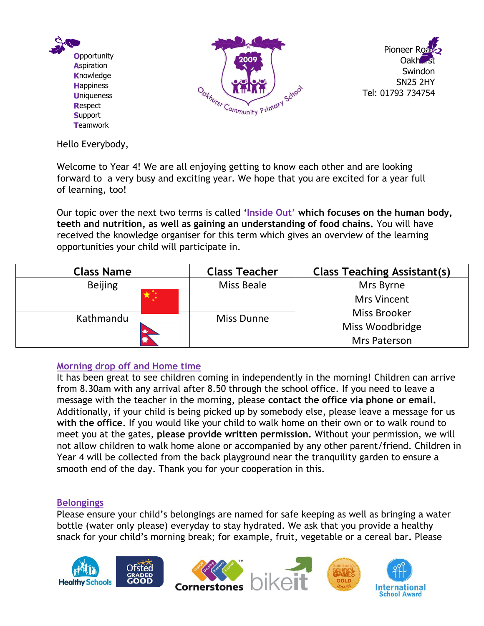

Hello Everybody,

Welcome to Year 4! We are all enjoying getting to know each other and are looking forward to a very busy and exciting year. We hope that you are excited for a year full of learning, too!

Our topic over the next two terms is called '**Inside Out' which focuses on the human body, teeth and nutrition, as well as gaining an understanding of food chains.** You will have received the knowledge organiser for this term which gives an overview of the learning opportunities your child will participate in.

| <b>Class Name</b> | <b>Class Teacher</b> | <b>Class Teaching Assistant(s)</b> |
|-------------------|----------------------|------------------------------------|
| <b>Beijing</b>    | Miss Beale           | Mrs Byrne                          |
|                   |                      | <b>Mrs Vincent</b>                 |
| Kathmandu         | <b>Miss Dunne</b>    | Miss Brooker                       |
|                   |                      | Miss Woodbridge                    |
|                   |                      | Mrs Paterson                       |

## **Morning drop off and Home time**

It has been great to see children coming in independently in the morning! Children can arrive from 8.30am with any arrival after 8.50 through the school office. If you need to leave a message with the teacher in the morning, please **contact the office via phone or email.** Additionally, if your child is being picked up by somebody else, please leave a message for us **with the office**. If you would like your child to walk home on their own or to walk round to meet you at the gates, **please provide written permission.** Without your permission, we will not allow children to walk home alone or accompanied by any other parent/friend. Children in Year 4 will be collected from the back playground near the tranquility garden to ensure a smooth end of the day. Thank you for your cooperation in this.

### **Belongings**

Please ensure your child's belongings are named for safe keeping as well as bringing a water bottle (water only please) everyday to stay hydrated. We ask that you provide a healthy snack for your child's morning break; for example, fruit, vegetable or a cereal bar**.** Please